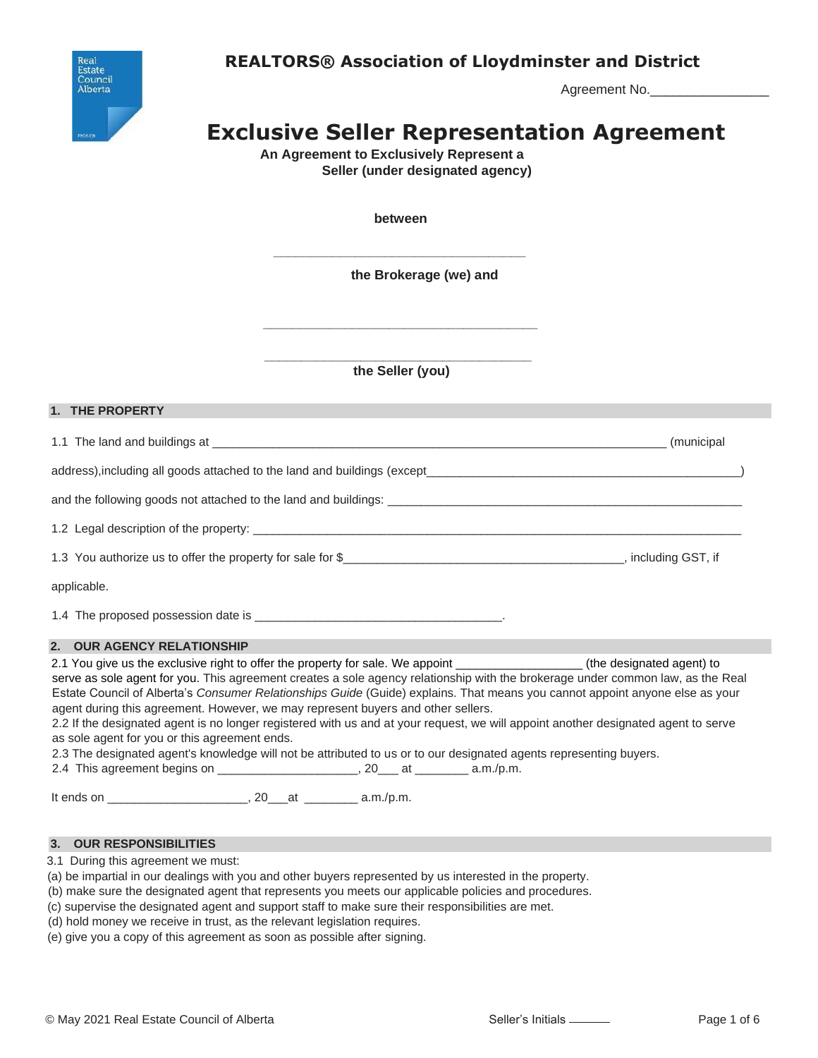



Agreement No.

# **Exclusive Seller Representation Agreement**

**An Agreement to Exclusively Represent a Seller (under designated agency)**

**between**

**\_\_\_\_\_\_\_\_\_\_\_\_\_\_\_\_\_\_\_\_\_\_\_\_\_\_\_\_\_\_\_\_\_\_**

**the Brokerage (we) and**

**\_\_\_\_\_\_\_\_\_\_\_\_\_\_\_\_\_\_\_\_\_\_\_\_\_\_\_\_\_\_\_\_\_\_\_\_ the Seller (you)**

**\_\_\_\_\_\_\_\_\_\_\_\_\_\_\_\_\_\_\_\_\_\_\_\_\_\_\_\_\_\_\_\_\_\_\_\_\_**

# **1. THE PROPERTY**

1.1 The land and buildings at \_\_\_\_\_\_\_\_\_\_\_\_\_\_\_\_\_\_\_\_\_\_\_\_\_\_\_\_\_\_\_\_\_\_\_\_\_\_\_\_\_\_\_\_\_\_\_\_\_\_\_\_\_\_\_\_\_\_\_\_\_\_\_\_\_\_\_\_ (municipal

address),including all goods attached to the land and buildings (except\_\_\_\_\_\_\_\_\_\_\_\_\_\_\_\_\_\_\_\_\_\_\_\_\_\_\_\_\_\_\_\_\_\_\_\_\_\_\_\_\_\_\_\_\_\_\_)

and the following goods not attached to the land and buildings: \_\_\_\_\_\_\_\_\_\_\_\_\_\_\_\_\_\_\_\_\_\_\_\_\_\_\_\_\_\_\_\_\_\_\_\_\_\_\_\_\_\_\_\_\_\_\_\_\_\_\_\_\_

1.2 Legal description of the property:

1.3 You authorize us to offer the property for sale for \$\_\_\_\_\_\_\_\_\_\_\_\_\_\_\_\_\_\_\_\_\_\_\_\_\_\_\_\_\_\_\_\_\_\_, including GST, if

applicable.

1.4 The proposed possession date is \_\_\_\_\_\_\_\_\_\_\_\_\_\_\_\_\_\_\_\_\_\_\_\_\_\_\_\_\_\_\_\_\_\_\_\_\_.

# **2. OUR AGENCY RELATIONSHIP**

2.1 You give us the exclusive right to offer the property for sale. We appoint (the designated agent) to serve as sole agent for you. This agreement creates a sole agency relationship with the brokerage under common law, as the Real Estate Council of Alberta's *Consumer Relationships Guide* (Guide) explains. That means you cannot appoint anyone else as your agent during this agreement. However, we may represent buyers and other sellers.

2.2 If the designated agent is no longer registered with us and at your request, we will appoint another designated agent to serve as sole agent for you or this agreement ends.

2.3 The designated agent's knowledge will not be attributed to us or to our designated agents representing buyers.

2.4 This agreement begins on \_\_\_\_\_\_\_\_\_\_\_\_\_\_\_\_\_\_\_\_\_\_\_, 20\_\_\_ at \_\_\_\_\_\_\_\_\_\_ a.m./p.m.

It ends on \_\_\_\_\_\_\_\_\_\_\_\_\_\_\_\_\_\_\_\_\_, 20\_\_\_at \_\_\_\_\_\_\_\_ a.m./p.m.

# **3. OUR RESPONSIBILITIES**

3.1 During this agreement we must:

(a) be impartial in our dealings with you and other buyers represented by us interested in the property.

(b) make sure the designated agent that represents you meets our applicable policies and procedures.

(c) supervise the designated agent and support staff to make sure their responsibilities are met.

(d) hold money we receive in trust, as the relevant legislation requires.

(e) give you a copy of this agreement as soon as possible after signing.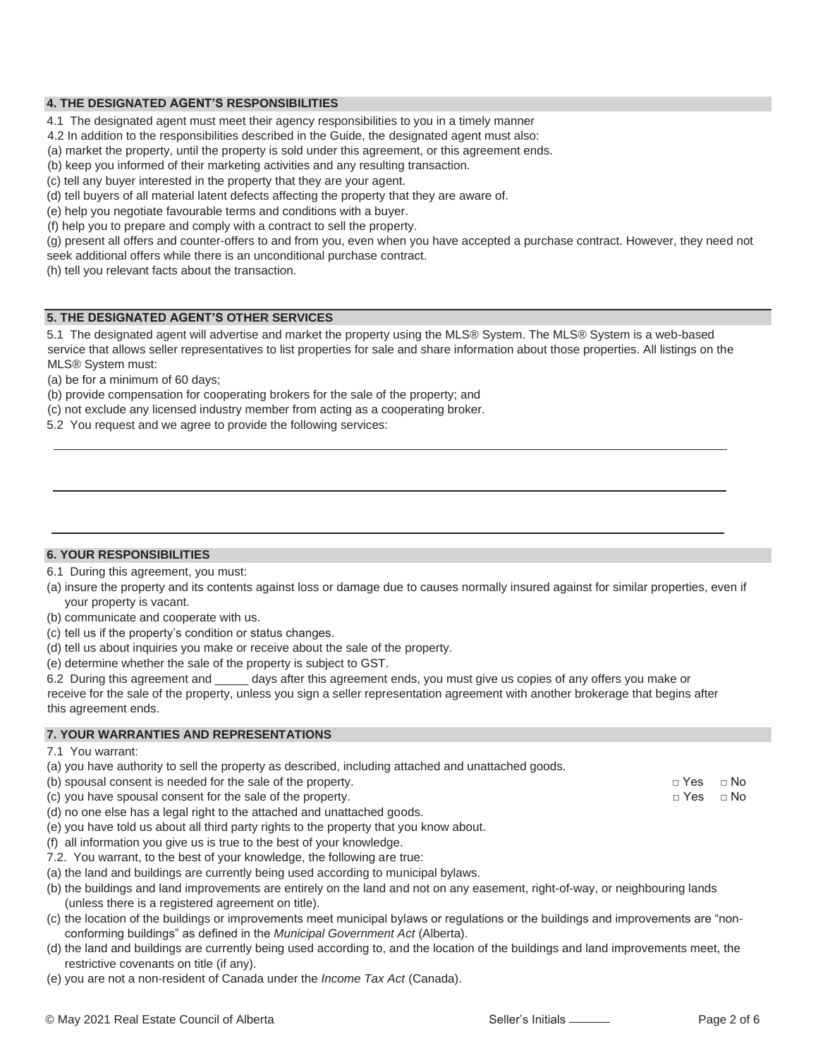# **4. THE DESIGNATED AGENT'S RESPONSIBILITIES**

4.1 The designated agent must meet their agency responsibilities to you in a timely manner

4.2 In addition to the responsibilities described in the Guide, the designated agent must also:

(a) market the property, until the property is sold under this agreement, or this agreement ends.

(b) keep you informed of their marketing activities and any resulting transaction.

(c) tell any buyer interested in the property that they are your agent.

(d) tell buyers of all material latent defects affecting the property that they are aware of.

(e) help you negotiate favourable terms and conditions with a buyer.

(f) help you to prepare and comply with a contract to sell the property.

(g) present all offers and counter-offers to and from you, even when you have accepted a purchase contract. However, they need not seek additional offers while there is an unconditional purchase contract.

(h) tell you relevant facts about the transaction.

### **5. THE DESIGNATED AGENT'S OTHER SERVICES**

5.1 The designated agent will advertise and market the property using the MLS® System. The MLS® System is a web-based service that allows seller representatives to list properties for sale and share information about those properties. All listings on the MLS® System must:

(a) be for a minimum of 60 days;

- (b) provide compensation for cooperating brokers for the sale of the property; and
- (c) not exclude any licensed industry member from acting as a cooperating broker.

5.2 You request and we agree to provide the following services:

#### **6. YOUR RESPONSIBILITIES**

6.1 During this agreement, you must:

(a) insure the property and its contents against loss or damage due to causes normally insured against for similar properties, even if your property is vacant.

- (b) communicate and cooperate with us.
- (c) tell us if the property's condition or status changes.
- (d) tell us about inquiries you make or receive about the sale of the property.
- (e) determine whether the sale of the property is subject to GST.

6.2 During this agreement and \_\_\_\_\_ days after this agreement ends, you must give us copies of any offers you make or receive for the sale of the property, unless you sign a seller representation agreement with another brokerage that begins after this agreement ends.

# **7. YOUR WARRANTIES AND REPRESENTATIONS**

(a) you have authority to sell the property as described, including attached and unattached goods.

| (b) spousal consent is needed for the sale of the property.                            | $\sqcap$ Yes | $\sqcap$ No |
|----------------------------------------------------------------------------------------|--------------|-------------|
| (c) you have spousal consent for the sale of the property.                             | $\sqcap$ Yes | $\sqcap$ No |
| (d) no one else has a legal right to the attached and unattached goods.                |              |             |
| (e) you have told us about all third party rights to the property that you know about. |              |             |
| (f) all information you give us is true to the best of your knowledge.                 |              |             |
| 7.2. You warrant, to the best of your knowledge, the following are true:               |              |             |

- (a) the land and buildings are currently being used according to municipal bylaws.
- (b) the buildings and land improvements are entirely on the land and not on any easement, right-of-way, or neighbouring lands (unless there is a registered agreement on title).
- (c) the location of the buildings or improvements meet municipal bylaws or regulations or the buildings and improvements are "nonconforming buildings" as defined in the *Municipal Government Act* (Alberta).
- (d) the land and buildings are currently being used according to, and the location of the buildings and land improvements meet, the restrictive covenants on title (if any).
- (e) you are not a non-resident of Canada under the *Income Tax Act* (Canada).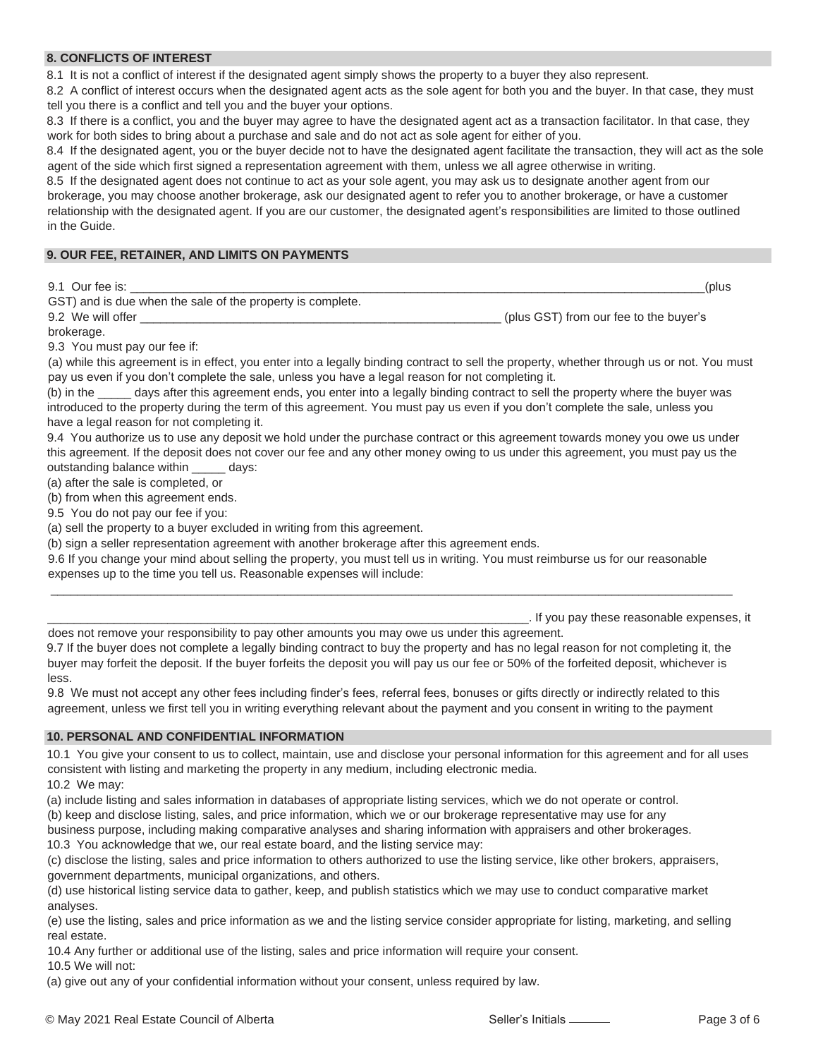# **8. CONFLICTS OF INTEREST**

8.1 It is not a conflict of interest if the designated agent simply shows the property to a buyer they also represent.

8.2 A conflict of interest occurs when the designated agent acts as the sole agent for both you and the buyer. In that case, they must tell you there is a conflict and tell you and the buyer your options.

8.3 If there is a conflict, you and the buyer may agree to have the designated agent act as a transaction facilitator. In that case, they work for both sides to bring about a purchase and sale and do not act as sole agent for either of you.

8.4 If the designated agent, you or the buyer decide not to have the designated agent facilitate the transaction, they will act as the sole agent of the side which first signed a representation agreement with them, unless we all agree otherwise in writing.

8.5 If the designated agent does not continue to act as your sole agent, you may ask us to designate another agent from our brokerage, you may choose another brokerage, ask our designated agent to refer you to another brokerage, or have a customer relationship with the designated agent. If you are our customer, the designated agent's responsibilities are limited to those outlined in the Guide.

## **9. OUR FEE, RETAINER, AND LIMITS ON PAYMENTS**

9.1 Our fee is:  $\qquad \qquad$  (plus

| GST) and is due when the sale of the property is complete. |                                        |
|------------------------------------------------------------|----------------------------------------|
| 9.2 We will offer                                          | (plus GST) from our fee to the buyer's |

brokerage.

9.3 You must pay our fee if:

(a) while this agreement is in effect, you enter into a legally binding contract to sell the property, whether through us or not. You must pay us even if you don't complete the sale, unless you have a legal reason for not completing it.

(b) in the \_\_\_\_\_ days after this agreement ends, you enter into a legally binding contract to sell the property where the buyer was introduced to the property during the term of this agreement. You must pay us even if you don't complete the sale, unless you have a legal reason for not completing it.

9.4 You authorize us to use any deposit we hold under the purchase contract or this agreement towards money you owe us under this agreement. If the deposit does not cover our fee and any other money owing to us under this agreement, you must pay us the outstanding balance within \_\_\_\_\_ days:

(a) after the sale is completed, or

(b) from when this agreement ends.

9.5 You do not pay our fee if you:

(a) sell the property to a buyer excluded in writing from this agreement.

(b) sign a seller representation agreement with another brokerage after this agreement ends.

9.6 If you change your mind about selling the property, you must tell us in writing. You must reimburse us for our reasonable expenses up to the time you tell us. Reasonable expenses will include:

\_\_\_\_\_\_\_\_\_\_\_\_\_\_\_\_\_\_\_\_\_\_\_\_\_\_\_\_\_\_\_\_\_\_\_\_\_\_\_\_\_\_\_\_\_\_\_\_\_\_\_\_\_\_\_\_\_\_\_\_\_\_\_\_\_\_\_\_\_\_\_\_. If you pay these reasonable expenses, it

does not remove your responsibility to pay other amounts you may owe us under this agreement. 9.7 If the buyer does not complete a legally binding contract to buy the property and has no legal reason for not completing it, the buyer may forfeit the deposit. If the buyer forfeits the deposit you will pay us our fee or 50% of the forfeited deposit, whichever is less.

\_\_\_\_\_\_\_\_\_\_\_\_\_\_\_\_\_\_\_\_\_\_\_\_\_\_\_\_\_\_\_\_\_\_\_\_\_\_\_\_\_\_\_\_\_\_\_\_\_\_\_\_\_\_\_\_\_\_\_\_\_\_\_\_\_\_\_\_\_\_\_\_\_\_\_\_\_\_\_\_\_\_\_\_\_\_\_\_\_\_\_\_\_\_\_\_\_\_\_\_\_\_

9.8 We must not accept any other fees including finder's fees, referral fees, bonuses or gifts directly or indirectly related to this agreement, unless we first tell you in writing everything relevant about the payment and you consent in writing to the payment

#### **10. PERSONAL AND CONFIDENTIAL INFORMATION**

10.1 You give your consent to us to collect, maintain, use and disclose your personal information for this agreement and for all uses consistent with listing and marketing the property in any medium, including electronic media.

10.2 We may:

(a) include listing and sales information in databases of appropriate listing services, which we do not operate or control.

(b) keep and disclose listing, sales, and price information, which we or our brokerage representative may use for any

business purpose, including making comparative analyses and sharing information with appraisers and other brokerages. 10.3 You acknowledge that we, our real estate board, and the listing service may:

(c) disclose the listing, sales and price information to others authorized to use the listing service, like other brokers, appraisers, government departments, municipal organizations, and others.

(d) use historical listing service data to gather, keep, and publish statistics which we may use to conduct comparative market analyses.

(e) use the listing, sales and price information as we and the listing service consider appropriate for listing, marketing, and selling real estate.

10.4 Any further or additional use of the listing, sales and price information will require your consent.

10.5 We will not:

(a) give out any of your confidential information without your consent, unless required by law.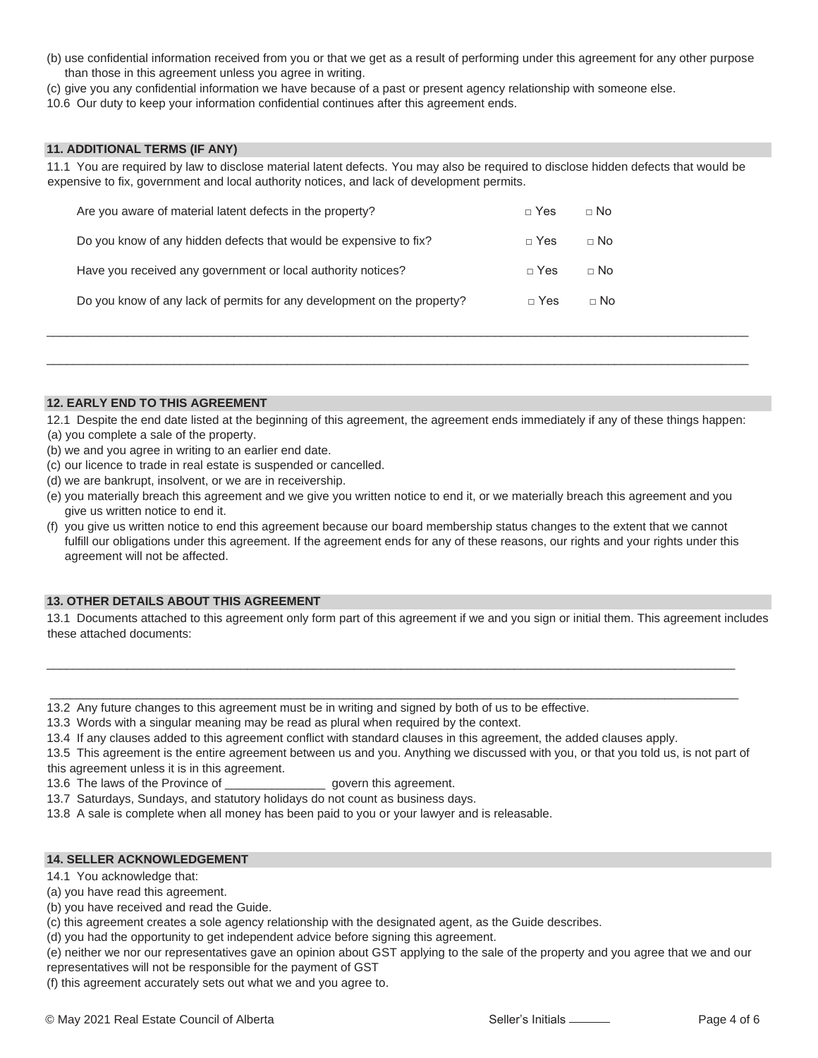- (b) use confidential information received from you or that we get as a result of performing under this agreement for any other purpose than those in this agreement unless you agree in writing.
- (c) give you any confidential information we have because of a past or present agency relationship with someone else.
- 10.6 Our duty to keep your information confidential continues after this agreement ends.

#### **11. ADDITIONAL TERMS (IF ANY)**

11.1 You are required by law to disclose material latent defects. You may also be required to disclose hidden defects that would be expensive to fix, government and local authority notices, and lack of development permits.

| Are you aware of material latent defects in the property?               | $\sqcap$ Yes | $\sqcap$ No |
|-------------------------------------------------------------------------|--------------|-------------|
| Do you know of any hidden defects that would be expensive to fix?       | $\sqcap$ Yes | $\sqcap$ No |
| Have you received any government or local authority notices?            | $\sqcap$ Yes | $\sqcap$ No |
| Do you know of any lack of permits for any development on the property? | $\sqcap$ Yes | $\Box$ No   |

#### **12. EARLY END TO THIS AGREEMENT**

12.1 Despite the end date listed at the beginning of this agreement, the agreement ends immediately if any of these things happen:

\_\_\_\_\_\_\_\_\_\_\_\_\_\_\_\_\_\_\_\_\_\_\_\_\_\_\_\_\_\_\_\_\_\_\_\_\_\_\_\_\_\_\_\_\_\_\_\_\_\_\_\_\_\_\_\_\_\_\_\_\_\_\_\_\_\_\_\_\_\_\_\_\_\_\_\_\_\_\_\_\_\_\_\_\_\_\_\_\_\_\_\_\_\_\_\_\_\_\_\_\_\_\_\_\_

\_\_\_\_\_\_\_\_\_\_\_\_\_\_\_\_\_\_\_\_\_\_\_\_\_\_\_\_\_\_\_\_\_\_\_\_\_\_\_\_\_\_\_\_\_\_\_\_\_\_\_\_\_\_\_\_\_\_\_\_\_\_\_\_\_\_\_\_\_\_\_\_\_\_\_\_\_\_\_\_\_\_\_\_\_\_\_\_\_\_\_\_\_\_\_\_\_\_\_\_\_\_\_\_\_

- (a) you complete a sale of the property.
- (b) we and you agree in writing to an earlier end date.
- (c) our licence to trade in real estate is suspended or cancelled.
- (d) we are bankrupt, insolvent, or we are in receivership.
- (e) you materially breach this agreement and we give you written notice to end it, or we materially breach this agreement and you give us written notice to end it.
- (f) you give us written notice to end this agreement because our board membership status changes to the extent that we cannot fulfill our obligations under this agreement. If the agreement ends for any of these reasons, our rights and your rights under this agreement will not be affected.

#### **13. OTHER DETAILS ABOUT THIS AGREEMENT**

13.1 Documents attached to this agreement only form part of this agreement if we and you sign or initial them. This agreement includes these attached documents:

\_\_\_\_\_\_\_\_\_\_\_\_\_\_\_\_\_\_\_\_\_\_\_\_\_\_\_\_\_\_\_\_\_\_\_\_\_\_\_\_\_\_\_\_\_\_\_\_\_\_\_\_\_\_\_\_\_\_\_\_\_\_\_\_\_\_\_\_\_\_\_\_\_\_\_\_\_\_\_\_\_\_\_\_\_\_\_\_\_\_\_\_\_\_\_\_\_\_\_\_\_\_\_

\_\_\_\_\_\_\_\_\_\_\_\_\_\_\_\_\_\_\_\_\_\_\_\_\_\_\_\_\_\_\_\_\_\_\_\_\_\_\_\_\_\_\_\_\_\_\_\_\_\_\_\_\_\_\_\_\_\_\_\_\_\_\_\_\_\_\_\_\_\_\_\_\_\_\_\_\_\_\_\_\_\_\_\_\_\_\_\_\_\_\_\_\_\_\_\_\_\_\_\_\_\_\_

- 13.2 Any future changes to this agreement must be in writing and signed by both of us to be effective.
- 13.3 Words with a singular meaning may be read as plural when required by the context.
- 13.4 If any clauses added to this agreement conflict with standard clauses in this agreement, the added clauses apply.
- 13.5 This agreement is the entire agreement between us and you. Anything we discussed with you, or that you told us, is not part of this agreement unless it is in this agreement.

13.6 The laws of the Province of \_\_\_\_\_\_\_\_\_\_\_\_\_\_\_ govern this agreement.

- 13.7 Saturdays, Sundays, and statutory holidays do not count as business days.
- 13.8 A sale is complete when all money has been paid to you or your lawyer and is releasable.

#### **14. SELLER ACKNOWLEDGEMENT**

- 14.1 You acknowledge that:
- (a) you have read this agreement.
- (b) you have received and read the Guide.
- (c) this agreement creates a sole agency relationship with the designated agent, as the Guide describes.
- (d) you had the opportunity to get independent advice before signing this agreement.
- (e) neither we nor our representatives gave an opinion about GST applying to the sale of the property and you agree that we and our representatives will not be responsible for the payment of GST

(f) this agreement accurately sets out what we and you agree to.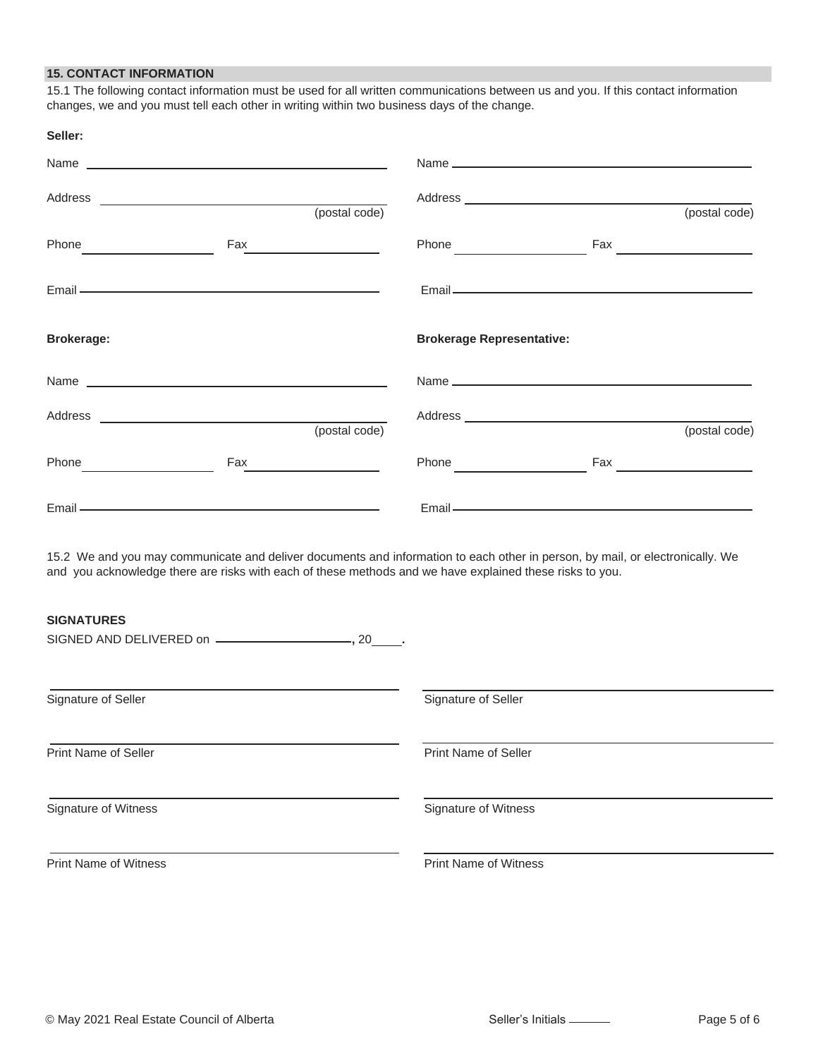# **15. CONTACT INFORMATION**

15.1 The following contact information must be used for all written communications between us and you. If this contact information changes, we and you must tell each other in writing within two business days of the change.

| Seller:                                                                                                                                                                                                                                         |                                     |
|-------------------------------------------------------------------------------------------------------------------------------------------------------------------------------------------------------------------------------------------------|-------------------------------------|
|                                                                                                                                                                                                                                                 |                                     |
| (postal code)                                                                                                                                                                                                                                   | (postal code)                       |
| Phone Phone                                                                                                                                                                                                                                     |                                     |
| Email — <u>contract the contract of the contract of</u> the contract of the contract of the contract of the contract of                                                                                                                         | Email <u>Constant Communication</u> |
| <b>Brokerage:</b>                                                                                                                                                                                                                               | <b>Brokerage Representative:</b>    |
|                                                                                                                                                                                                                                                 |                                     |
| (postal code)                                                                                                                                                                                                                                   | (postal code)                       |
| $\mathsf{Fax}$<br>Phone and the contract of the contract of the contract of the contract of the contract of the contract of the contract of the contract of the contract of the contract of the contract of the contract of the contract of the |                                     |
|                                                                                                                                                                                                                                                 |                                     |
| 15.2 We and you may communicate and deliver documents and information to each other in person, by mail, or electronically. We<br>and you acknowledge there are risks with each of these methods and we have explained these risks to you.       |                                     |
| <b>SIGNATURES</b>                                                                                                                                                                                                                               |                                     |
| Signature of Seller                                                                                                                                                                                                                             | Signature of Seller                 |
| <b>Print Name of Seller</b>                                                                                                                                                                                                                     | <b>Print Name of Seller</b>         |
| Signature of Witness                                                                                                                                                                                                                            | Signature of Witness                |
| <b>Print Name of Witness</b>                                                                                                                                                                                                                    | <b>Print Name of Witness</b>        |